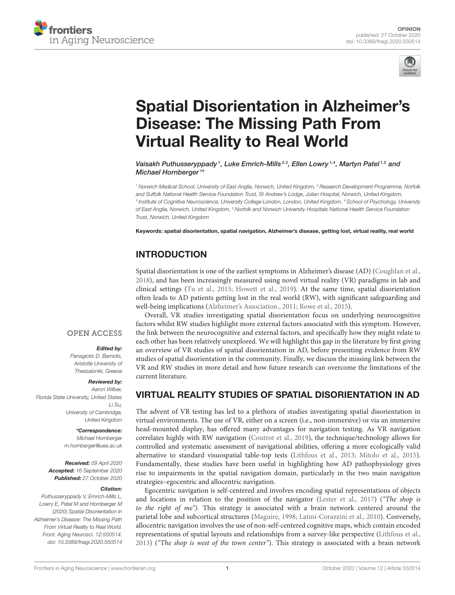



# [Spatial Disorientation in Alzheimer's](https://www.frontiersin.org/articles/10.3389/fnagi.2020.550514/full) Disease: The Missing Path From Virtual Reality to Real World

Vaisakh Puthusseryppady <sup>1</sup>, Luke Emrich-Mills 2,3, Ellen Lowry 1,4, Martyn Patel <sup>1,5</sup> and Michael Hornberger <sup>1</sup> \*

*<sup>1</sup> Norwich Medical School, University of East Anglia, Norwich, United Kingdom, <sup>2</sup> Research Development Programme, Norfolk and Suffolk National Health Service Foundation Trust, St Andrew's Lodge, Julian Hospital, Norwich, United Kingdom, 3 Institute of Cognitive Neuroscience, University College London, London, United Kingdom, <sup>4</sup> School of Psychology, University of East Anglia, Norwich, United Kingdom, <sup>5</sup> Norfolk and Norwich University Hospitals National Health Service Foundation Trust, Norwich, United Kingdom*

Keywords: spatial disorientation, spatial navigation, Alzheimer's disease, getting lost, virtual reality, real world

### INTRODUCTION

Spatial disorientation is one of the earliest symptoms in Alzheimer's disease (AD) [\(Coughlan et al.,](#page-3-0) [2018\)](#page-3-0), and has been increasingly measured using novel virtual reality (VR) paradigms in lab and clinical settings [\(Tu et al., 2015;](#page-4-0) [Howett et al., 2019\)](#page-3-1). At the same time, spatial disorientation often leads to AD patients getting lost in the real world (RW), with significant safeguarding and well-being implications [\(Alzheimer's Association., 2011;](#page-3-2) [Rowe et al., 2015\)](#page-4-1).

Overall, VR studies investigating spatial disorientation focus on underlying neurocognitive factors whilst RW studies highlight more external factors associated with this symptom. However, the link between the neurocognitive and external factors, and specifically how they might relate to each other has been relatively unexplored. We will highlight this gap in the literature by first giving an overview of VR studies of spatial disorientation in AD, before presenting evidence from RW studies of spatial disorientation in the community. Finally, we discuss the missing link between the VR and RW studies in more detail and how future research can overcome the limitations of the current literature.

### VIRTUAL REALITY STUDIES OF SPATIAL DISORIENTATION IN AD

The advent of VR testing has led to a plethora of studies investigating spatial disorientation in virtual environments. The use of VR, either on a screen (i.e., non-immersive) or via an immersive head-mounted display, has offered many advantages for navigation testing. As VR navigation correlates highly with RW navigation [\(Coutrot et al., 2019\)](#page-3-3), the technique/technology allows for controlled and systematic assessment of navigational abilities, offering a more ecologically valid alternative to standard visuospatial table-top tests [\(Lithfous et al., 2013;](#page-3-4) [Mitolo et al., 2015\)](#page-3-5). Fundamentally, these studies have been useful in highlighting how AD pathophysiology gives rise to impairments in the spatial navigation domain, particularly in the two main navigation strategies–egocentric and allocentric navigation.

Egocentric navigation is self-centered and involves encoding spatial representations of objects and locations in relation to the position of the navigator [\(Lester et al., 2017\)](#page-3-6) ("The shop is to the right of me"). This strategy is associated with a brain network centered around the parietal lobe and subcortical structures [\(Maguire, 1998;](#page-3-7) [Latini-Corazzini et al., 2010\)](#page-3-8). Conversely, allocentric navigation involves the use of non-self-centered cognitive maps, which contain encoded representations of spatial layouts and relationships from a survey-like perspective [\(Lithfous et al.,](#page-3-4) [2013\)](#page-3-4) ("The shop is west of the town center"). This strategy is associated with a brain network

### **OPEN ACCESS**

#### Edited by:

*Panagiotis D. Bamidis, Aristotle University of Thessaloniki, Greece*

### Reviewed by:

*Aaron Wilber, Florida State University, United States Li Su, University of Cambridge, United Kingdom*

> \*Correspondence: *Michael Hornberger*

*[m.hornberger@uea.ac.uk](mailto:m.hornberger@uea.ac.uk)*

Received: *09 April 2020* Accepted: *16 September 2020* Published: *27 October 2020*

#### Citation:

*Puthusseryppady V, Emrich-Mills L, Lowry E, Patel M and Hornberger M (2020) Spatial Disorientation in Alzheimer's Disease: The Missing Path From Virtual Reality to Real World. Front. Aging Neurosci. 12:550514. doi: [10.3389/fnagi.2020.550514](https://doi.org/10.3389/fnagi.2020.550514)*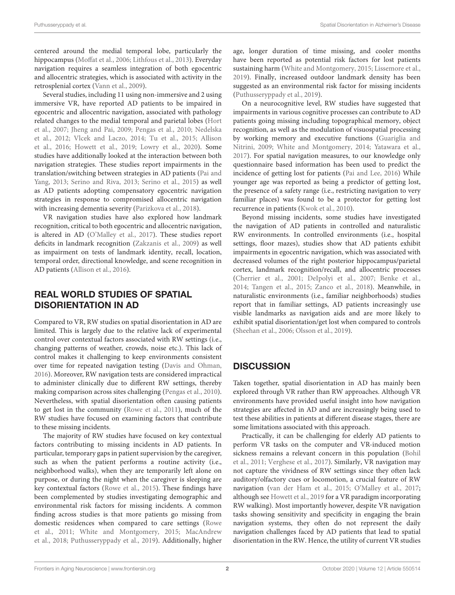centered around the medial temporal lobe, particularly the hippocampus [\(Moffat et al., 2006;](#page-4-2) [Lithfous et al., 2013\)](#page-3-4). Everyday navigation requires a seamless integration of both egocentric and allocentric strategies, which is associated with activity in the retrosplenial cortex [\(Vann et al., 2009\)](#page-4-3).

Several studies, including 11 using non-immersive and 2 using immersive VR, have reported AD patients to be impaired in egocentric and allocentric navigation, associated with pathology related changes to the medial temporal and parietal lobes (Hort et al., [2007;](#page-3-9) [Jheng and Pai, 2009;](#page-3-10) [Pengas et al., 2010;](#page-4-4) Nedelska et al., [2012;](#page-4-5) [Vlcek and Laczo, 2014;](#page-4-6) [Tu et al., 2015;](#page-4-0) Allison et al., [2016;](#page-3-11) [Howett et al., 2019;](#page-3-1) [Lowry et al., 2020\)](#page-3-12). Some studies have additionally looked at the interaction between both navigation strategies. These studies report impairments in the translation/switching between strategies in AD patients (Pai and Yang, [2013;](#page-4-7) [Serino and Riva, 2013;](#page-4-8) [Serino et al., 2015\)](#page-4-9) as well as AD patients adopting compensatory egocentric navigation strategies in response to compromised allocentric navigation with increasing dementia severity [\(Parizkova et al., 2018\)](#page-4-10).

VR navigation studies have also explored how landmark recognition, critical to both egocentric and allocentric navigation, is altered in AD [\(O'Malley et al., 2017\)](#page-4-11). These studies report deficits in landmark recognition [\(Zakzanis et al., 2009\)](#page-4-12) as well as impairment on tests of landmark identity, recall, location, temporal order, directional knowledge, and scene recognition in AD patients [\(Allison et al., 2016\)](#page-3-11).

# REAL WORLD STUDIES OF SPATIAL DISORIENTATION IN AD

Compared to VR, RW studies on spatial disorientation in AD are limited. This is largely due to the relative lack of experimental control over contextual factors associated with RW settings (i.e., changing patterns of weather, crowds, noise etc.). This lack of control makes it challenging to keep environments consistent over time for repeated navigation testing [\(Davis and Ohman,](#page-3-13) [2016\)](#page-3-13). Moreover, RW navigation tests are considered impractical to administer clinically due to different RW settings, thereby making comparison across sites challenging [\(Pengas et al., 2010\)](#page-4-4). Nevertheless, with spatial disorientation often causing patients to get lost in the community [\(Rowe et al., 2011\)](#page-4-13), much of the RW studies have focused on examining factors that contribute to these missing incidents.

The majority of RW studies have focused on key contextual factors contributing to missing incidents in AD patients. In particular, temporary gaps in patient supervision by the caregiver, such as when the patient performs a routine activity (i.e., neighborhood walks), when they are temporarily left alone on purpose, or during the night when the caregiver is sleeping are key contextual factors [\(Rowe et al., 2015\)](#page-4-1). These findings have been complemented by studies investigating demographic and environmental risk factors for missing incidents. A common finding across studies is that more patients go missing from domestic residences when compared to care settings (Rowe et al., [2011;](#page-4-13) [White and Montgomery, 2015;](#page-4-14) MacAndrew et al., [2018;](#page-3-14) [Puthusseryppady et al., 2019\)](#page-4-15). Additionally, higher age, longer duration of time missing, and cooler months have been reported as potential risk factors for lost patients sustaining harm [\(White and Montgomery, 2015;](#page-4-14) [Lissemore et al.,](#page-3-15) [2019\)](#page-3-15). Finally, increased outdoor landmark density has been suggested as an environmental risk factor for missing incidents [\(Puthusseryppady et al., 2019\)](#page-4-15).

On a neurocognitive level, RW studies have suggested that impairments in various cognitive processes can contribute to AD patients going missing including topographical memory, object recognition, as well as the modulation of visuospatial processing by working memory and executive functions (Guariglia and Nitrini, [2009;](#page-3-16) [White and Montgomery, 2014;](#page-4-16) [Yatawara et al.,](#page-4-17) [2017\)](#page-4-17). For spatial navigation measures, to our knowledge only questionnaire based information has been used to predict the incidence of getting lost for patients [\(Pai and Lee, 2016\)](#page-4-18) While younger age was reported as being a predictor of getting lost, the presence of a safety range (i.e., restricting navigation to very familiar places) was found to be a protector for getting lost recurrence in patients [\(Kwok et al., 2010\)](#page-3-17).

Beyond missing incidents, some studies have investigated the navigation of AD patients in controlled and naturalistic RW environments. In controlled environments (i.e., hospital settings, floor mazes), studies show that AD patients exhibit impairments in egocentric navigation, which was associated with decreased volumes of the right posterior hippocampus/parietal cortex, landmark recognition/recall, and allocentric processes [\(Cherrier et al., 2001;](#page-3-18) [DeIpolyi et al., 2007;](#page-3-19) [Benke et al.,](#page-3-20) [2014;](#page-3-20) [Tangen et al., 2015;](#page-4-19) [Zanco et al., 2018\)](#page-4-20). Meanwhile, in naturalistic environments (i.e., familiar neighborhoods) studies report that in familiar settings, AD patients increasingly use visible landmarks as navigation aids and are more likely to exhibit spatial disorientation/get lost when compared to controls [\(Sheehan et al., 2006;](#page-4-21) [Olsson et al., 2019\)](#page-4-22).

# **DISCUSSION**

Taken together, spatial disorientation in AD has mainly been explored through VR rather than RW approaches. Although VR environments have provided useful insight into how navigation strategies are affected in AD and are increasingly being used to test these abilities in patients at different disease stages, there are some limitations associated with this approach.

Practically, it can be challenging for elderly AD patients to perform VR tasks on the computer and VR-induced motion sickness remains a relevant concern in this population (Bohil et al., [2011;](#page-3-21) [Verghese et al., 2017\)](#page-4-23). Similarly, VR navigation may not capture the vividness of RW settings since they often lack auditory/olfactory cues or locomotion, a crucial feature of RW navigation [\(van der Ham et al., 2015;](#page-4-24) [O'Malley et al., 2017;](#page-4-11) although see [Howett et al., 2019](#page-3-1) for a VR paradigm incorporating RW walking). Most importantly however, despite VR navigation tasks showing sensitivity and specificity in engaging the brain navigation systems, they often do not represent the daily navigation challenges faced by AD patients that lead to spatial disorientation in the RW. Hence, the utility of current VR studies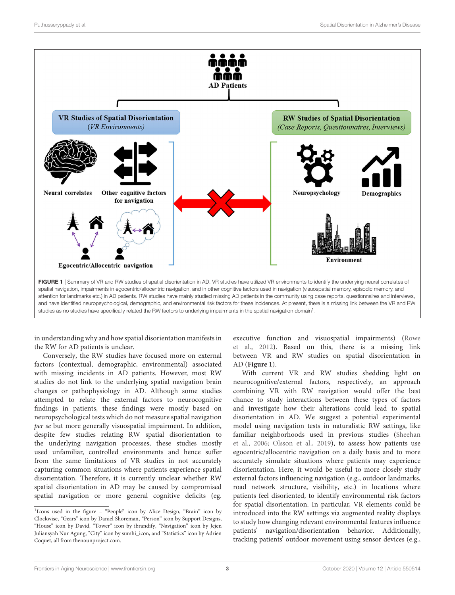

<span id="page-2-1"></span>in understanding why and how spatial disorientation manifests in the RW for AD patients is unclear.

Conversely, the RW studies have focused more on external factors (contextual, demographic, environmental) associated with missing incidents in AD patients. However, most RW studies do not link to the underlying spatial navigation brain changes or pathophysiology in AD. Although some studies attempted to relate the external factors to neurocognitive findings in patients, these findings were mostly based on neuropsychological tests which do not measure spatial navigation per se but more generally visuospatial impairment. In addition, despite few studies relating RW spatial disorientation to the underlying navigation processes, these studies mostly used unfamiliar, controlled environments and hence suffer from the same limitations of VR studies in not accurately capturing common situations where patients experience spatial disorientation. Therefore, it is currently unclear whether RW spatial disorientation in AD may be caused by compromised spatial navigation or more general cognitive deficits (eg.

executive function and visuospatial impairments) (Rowe et al., [2012\)](#page-4-25). Based on this, there is a missing link between VR and RW studies on spatial disorientation in AD (**[Figure 1](#page-2-1)**).

With current VR and RW studies shedding light on neurocognitive/external factors, respectively, an approach combining VR with RW navigation would offer the best chance to study interactions between these types of factors and investigate how their alterations could lead to spatial disorientation in AD. We suggest a potential experimental model using navigation tests in naturalistic RW settings, like familiar neighborhoods used in previous studies (Sheehan et al., [2006;](#page-4-21) [Olsson et al., 2019\)](#page-4-22), to assess how patients use egocentric/allocentric navigation on a daily basis and to more accurately simulate situations where patients may experience disorientation. Here, it would be useful to more closely study external factors influencing navigation (e.g., outdoor landmarks, road network structure, visibility, etc.) in locations where patients feel disoriented, to identify environmental risk factors for spatial disorientation. In particular, VR elements could be introduced into the RW settings via augmented reality displays to study how changing relevant environmental features influence patients' navigation/disorientation behavior. Additionally, tracking patients' outdoor movement using sensor devices (e.g.,

<span id="page-2-0"></span><sup>&</sup>lt;sup>1</sup>Icons used in the figure - "People" icon by Alice Design, "Brain" icon by Clockwise, "Gears" icon by Daniel Shoreman, "Person" icon by Support Designs, "House" icon by David, "Tower" icon by ibrandify, "Navigation" icon by Jejen Juliansyah Nur Agung, "City" icon by sumhi\_icon, and "Statistics" icon by Adrien Coquet, all from [thenounproject.com.](https://thenounproject.com)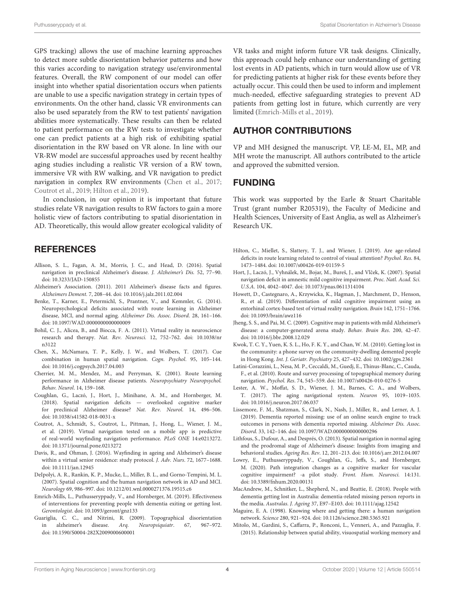GPS tracking) allows the use of machine learning approaches to detect more subtle disorientation behavior patterns and how this varies according to navigation strategy use/environmental features. Overall, the RW component of our model can offer insight into whether spatial disorientation occurs when patients are unable to use a specific navigation strategy in certain types of environments. On the other hand, classic VR environments can also be used separately from the RW to test patients' navigation abilities more systematically. These results can then be related to patient performance on the RW tests to investigate whether one can predict patients at a high risk of exhibiting spatial disorientation in the RW based on VR alone. In line with our VR-RW model are successful approaches used by recent healthy aging studies including a realistic VR version of a RW town, immersive VR with RW walking, and VR navigation to predict navigation in complex RW environments [\(Chen et al., 2017;](#page-3-22) [Coutrot et al., 2019;](#page-3-3) [Hilton et al., 2019\)](#page-3-23).

In conclusion, in our opinion it is important that future studies relate VR navigation results to RW factors to gain a more holistic view of factors contributing to spatial disorientation in AD. Theoretically, this would allow greater ecological validity of

### **REFERENCES**

- <span id="page-3-11"></span>Allison, S. L., Fagan, A. M., Morris, J. C., and Head, D. (2016). Spatial navigation in preclinical Alzheimer's disease. J. Alzheimer's Dis. 52, 77–90. doi: [10.3233/JAD-150855](https://doi.org/10.3233/JAD-150855)
- <span id="page-3-2"></span>Alzheimer's Association. (2011). 2011 Alzheimer's disease facts and figures. Alzheimers Dement. 7, 208–44. doi: [10.1016/j.jalz.2011.02.004](https://doi.org/10.1016/j.jalz.2011.02.004)
- <span id="page-3-20"></span>Benke, T., Karner, E., Petermichl, S., Prantner, V., and Kemmler, G. (2014). Neuropsychological deficits associated with route learning in Alzheimer disease, MCI, and normal aging. Alzheimer Dis. Assoc. Disord. 28, 161–166. doi: [10.1097/WAD.0000000000000009](https://doi.org/10.1097/WAD.0000000000000009)
- <span id="page-3-21"></span>Bohil, C. J., Alicea, B., and Biocca, F. A. (2011). Virtual reality in neuroscience research and therapy. Nat. Rev. Neurosci. [12, 752–762. doi: 10.1038/nr](https://doi.org/10.1038/nrn3122) n3122
- <span id="page-3-22"></span>Chen, X., McNamara, T. P., Kelly, J. W., and Wolbers, T. (2017). Cue combination in human spatial navigation. Cogn. Psychol. 95, 105–144. doi: [10.1016/j.cogpsych.2017.04.003](https://doi.org/10.1016/j.cogpsych.2017.04.003)
- <span id="page-3-18"></span>Cherrier, M. M., Mendez, M., and Perryman, K. (2001). Route learning performance in Alzheimer disease patients. Neuropsychiatry Neuropsychol. Behav. Neurol. 14, 159–168.
- <span id="page-3-0"></span>Coughlan, G., Laczó, J., Hort, J., Minihane, A. M., and Hornberger, M. (2018). Spatial navigation deficits — overlooked cognitive marker for preclinical Alzheimer disease? Nat. Rev. Neurol. 14, 496–506. doi: [10.1038/s41582-018-0031-x](https://doi.org/10.1038/s41582-018-0031-x)
- <span id="page-3-3"></span>Coutrot, A., Schmidt, S., Coutrot, L., Pittman, J., Hong, L., Wiener, J. M., et al. (2019). Virtual navigation tested on a mobile app is predictive of real-world wayfinding navigation performance. PLoS ONE 14:e0213272. doi: [10.1371/journal.pone.0213272](https://doi.org/10.1371/journal.pone.0213272)
- <span id="page-3-13"></span>Davis, R., and Ohman, J. (2016). Wayfinding in ageing and Alzheimer's disease within a virtual senior residence: study protocol. J. Adv. Nurs. 72, 1677–1688. doi: [10.1111/jan.12945](https://doi.org/10.1111/jan.12945)
- <span id="page-3-19"></span>DeIpolyi, A. R., Rankin, K. P., Mucke, L., Miller, B. L., and Gorno-Tempini, M. L. (2007). Spatial cognition and the human navigation network in AD and MCI. Neurology 69, 986–997. doi: [10.1212/01.wnl.0000271376.19515.c6](https://doi.org/10.1212/01.wnl.0000271376.19515.c6)
- <span id="page-3-24"></span>Emrich-Mills, L., Puthusseryppady, V., and Hornberger, M. (2019). Effectiveness of interventions for preventing people with dementia exiting or getting lost. Gerontologist. doi: [10.1093/geront/gnz133](https://doi.org/10.1093/geront/gnz133)
- <span id="page-3-16"></span>Guariglia, C. C., and Nitrini, R. (2009). Topographical disorientation in alzheimer's disease. Arq. Neuropsiquiatr. 67, 967–972. doi: [10.1590/S0004-282X2009000600001](https://doi.org/10.1590/S0004-282X2009000600001)

VR tasks and might inform future VR task designs. Clinically, this approach could help enhance our understanding of getting lost events in AD patients, which in turn would allow use of VR for predicting patients at higher risk for these events before they actually occur. This could then be used to inform and implement much-needed, effective safeguarding strategies to prevent AD patients from getting lost in future, which currently are very limited [\(Emrich-Mills et al., 2019\)](#page-3-24).

## AUTHOR CONTRIBUTIONS

VP and MH designed the manuscript. VP, LE-M, EL, MP, and MH wrote the manuscript. All authors contributed to the article and approved the submitted version.

### FUNDING

This work was supported by the Earle & Stuart Charitable Trust (grant number R205319), the Faculty of Medicine and Health Sciences, University of East Anglia, as well as Alzheimer's Research UK.

- <span id="page-3-23"></span>Hilton, C., Miellet, S., Slattery, T. J., and Wiener, J. (2019). Are age-related deficits in route learning related to control of visual attention? Psychol. Res. 84, 1473–1484. doi: [10.1007/s00426-019-01159-5](https://doi.org/10.1007/s00426-019-01159-5)
- <span id="page-3-9"></span>Hort, J., Laczó, J., Vyhnálek, M., Bojar, M., Bureš, J., and Vlček, K. (2007). Spatial navigation deficit in amnestic mild cognitive impairment. Proc. Natl. Acad. Sci. U.S.A. 104, 4042–4047. doi: [10.1073/pnas.0611314104](https://doi.org/10.1073/pnas.0611314104)
- <span id="page-3-1"></span>Howett, D., Castegnaro, A., Krzywicka, K., Hagman, J., Marchment, D., Henson, R., et al. (2019). Differentiation of mild cognitive impairment using an entorhinal cortex-based test of virtual reality navigation. Brain 142, 1751–1766. doi: [10.1093/brain/awz116](https://doi.org/10.1093/brain/awz116)
- <span id="page-3-10"></span>Jheng, S. S., and Pai, M. C. (2009). Cognitive map in patients with mild Alzheimer's disease: a computer-generated arena study. Behav. Brain Res. 200, 42–47. doi: [10.1016/j.bbr.2008.12.029](https://doi.org/10.1016/j.bbr.2008.12.029)
- <span id="page-3-17"></span>Kwok, T. C. Y., Yuen, K. S. L., Ho, F. K. Y., and Chan, W. M. (2010). Getting lost in the community: a phone survey on the community-dwelling demented people in Hong Kong. Int. J. Geriatr. Psychiatry 25, 427–432. doi: [10.1002/gps.2361](https://doi.org/10.1002/gps.2361)
- <span id="page-3-8"></span>Latini-Corazzini, L., Nesa, M. P., Ceccaldi, M., Guedj, E., Thinus-Blanc, C., Cauda, F., et al. (2010). Route and survey processing of topographical memory during navigation. Psychol. Res. 74, 545–559. doi: [10.1007/s00426-010-0276-5](https://doi.org/10.1007/s00426-010-0276-5)
- <span id="page-3-6"></span>Lester, A. W., Moffat, S. D., Wiener, J. M., Barnes, C. A., and Wolbers, T. (2017). The aging navigational system. Neuron 95, 1019–1035. doi: [10.1016/j.neuron.2017.06.037](https://doi.org/10.1016/j.neuron.2017.06.037)
- <span id="page-3-15"></span>Lissemore, F. M., Shatzman, S., Clark, N., Nash, J., Miller, R., and Lerner, A. J. (2019). Dementia reported missing: use of an online search engine to track outcomes in persons with dementia reported missing. Alzheimer Dis. Assoc. Disord. 33, 142–146. doi: [10.1097/WAD.0000000000000296](https://doi.org/10.1097/WAD.0000000000000296)
- <span id="page-3-4"></span>Lithfous, S., Dufour, A., and Després, O. (2013). Spatial navigation in normal aging and the prodromal stage of Alzheimer's disease: Insights from imaging and behavioral studies. Ageing Res. Rev. 12, 201–213. doi: [10.1016/j.arr.2012.04.007](https://doi.org/10.1016/j.arr.2012.04.007)
- <span id="page-3-12"></span>Lowry, E., Puthusseryppady, V., Coughlan, G., Jeffs, S., and Hornberger, M. (2020). Path integration changes as a cognitive marker for vascular cognitive impairment? -a pilot study. Front. Hum. Neurosci. 14:131. doi: [10.3389/fnhum.2020.00131](https://doi.org/10.3389/fnhum.2020.00131)
- <span id="page-3-14"></span>MacAndrew, M., Schnitker, L., Shepherd, N., and Beattie, E. (2018). People with dementia getting lost in Australia: dementia-related missing person reports in the media. Australas. J. Ageing 37, E97–E103. doi: [10.1111/ajag.12542](https://doi.org/10.1111/ajag.12542)
- <span id="page-3-7"></span>Maguire, E. A. (1998). Knowing where and getting there: a human navigation network. Science 280, 921–924. doi: [10.1126/science.280.5365.921](https://doi.org/10.1126/science.280.5365.921)
- <span id="page-3-5"></span>Mitolo, M., Gardini, S., Caffarra, P., Ronconi, L., Venneri, A., and Pazzaglia, F. (2015). Relationship between spatial ability, visuospatial working memory and